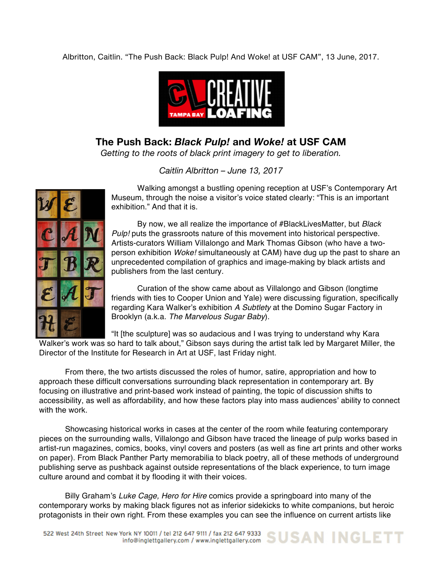Albritton, Caitlin. "The Push Back: Black Pulp! And Woke! at USF CAM", 13 June, 2017.



**The Push Back:** *Black Pulp!* **and** *Woke!* **at USF CAM** *Getting to the roots of black print imagery to get to liberation.*

*Caitlin Albritton – June 13, 2017*



Walking amongst a bustling opening reception at USF's Contemporary Art Museum, through the noise a visitor's voice stated clearly: "This is an important exhibition." And that it is.

By now, we all realize the importance of #BlackLivesMatter, but *Black Pulp!* puts the grassroots nature of this movement into historical perspective. Artists-curators William Villalongo and Mark Thomas Gibson (who have a twoperson exhibition *Woke!* simultaneously at CAM) have dug up the past to share an unprecedented compilation of graphics and image-making by black artists and publishers from the last century.

Curation of the show came about as Villalongo and Gibson (longtime friends with ties to Cooper Union and Yale) were discussing figuration, specifically regarding Kara Walker's exhibition *A Subtlety* at the Domino Sugar Factory in Brooklyn (a.k.a. *The Marvelous Sugar Baby*).

"It [the sculpture] was so audacious and I was trying to understand why Kara

Walker's work was so hard to talk about," Gibson says during the artist talk led by Margaret Miller, the Director of the Institute for Research in Art at USF, last Friday night.

From there, the two artists discussed the roles of humor, satire, appropriation and how to approach these difficult conversations surrounding black representation in contemporary art. By focusing on illustrative and print-based work instead of painting, the topic of discussion shifts to accessibility, as well as affordability, and how these factors play into mass audiences' ability to connect with the work.

Showcasing historical works in cases at the center of the room while featuring contemporary pieces on the surrounding walls, Villalongo and Gibson have traced the lineage of pulp works based in artist-run magazines, comics, books, vinyl covers and posters (as well as fine art prints and other works on paper). From Black Panther Party memorabilia to black poetry, all of these methods of underground publishing serve as pushback against outside representations of the black experience, to turn image culture around and combat it by flooding it with their voices.

Billy Graham's *Luke Cage, Hero for Hire* comics provide a springboard into many of the contemporary works by making black figures not as inferior sidekicks to white companions, but heroic protagonists in their own right. From these examples you can see the influence on current artists like